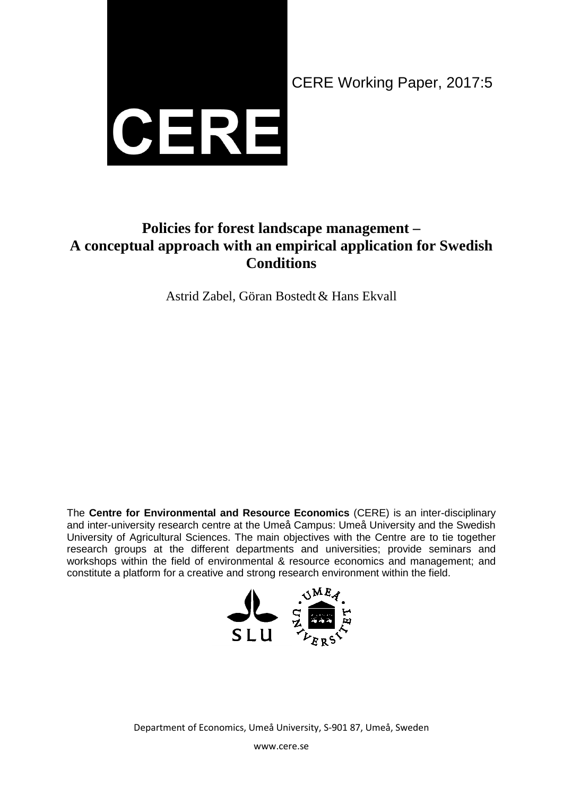

CERE Working Paper, 2017:5

# **Policies for forest landscape management – A conceptual approach with an empirical application for Swedish Conditions**

Astrid Zabel, Göran Bostedt & Hans Ekvall

The **Centre for Environmental and Resource Economics** (CERE) is an inter-disciplinary and inter-university research centre at the Umeå Campus: Umeå University and the Swedish University of Agricultural Sciences. The main objectives with the Centre are to tie together research groups at the different departments and universities; provide seminars and workshops within the field of environmental & resource economics and management; and constitute a platform for a creative and strong research environment within the field.



Department of Economics, Umeå University, S-901 87, Umeå, Sweden

www.cere.se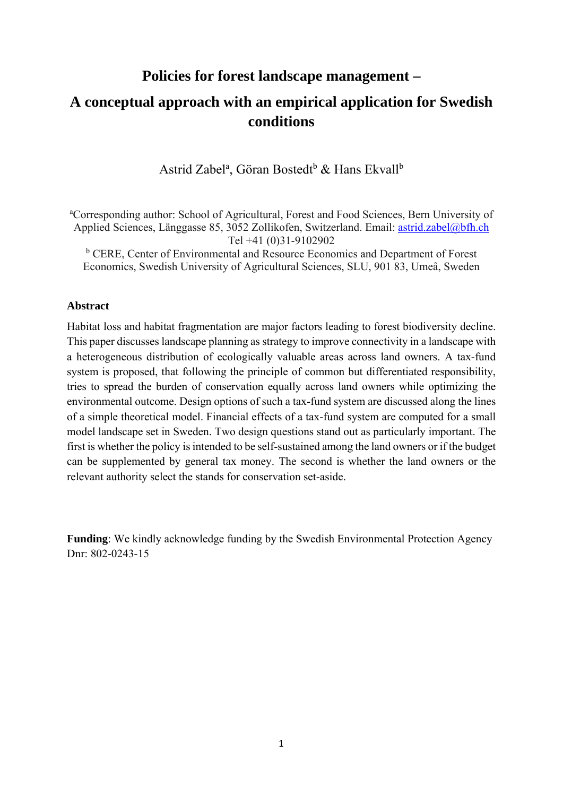# **Policies for forest landscape management –**

# **A conceptual approach with an empirical application for Swedish conditions**

Astrid Zabel<sup>a</sup>, Göran Bostedt<sup>b</sup> & Hans Ekvall<sup>b</sup>

<sup>a</sup>Corresponding author: School of Agricultural, Forest and Food Sciences, Bern University of Applied Sciences, Länggasse 85, 3052 Zollikofen, Switzerland. Email: astrid.zabel@bfh.ch Tel +41 (0)31-9102902

**b** CERE, Center of Environmental and Resource Economics and Department of Forest Economics, Swedish University of Agricultural Sciences, SLU, 901 83, Umeå, Sweden

#### **Abstract**

Habitat loss and habitat fragmentation are major factors leading to forest biodiversity decline. This paper discusses landscape planning as strategy to improve connectivity in a landscape with a heterogeneous distribution of ecologically valuable areas across land owners. A tax-fund system is proposed, that following the principle of common but differentiated responsibility, tries to spread the burden of conservation equally across land owners while optimizing the environmental outcome. Design options of such a tax-fund system are discussed along the lines of a simple theoretical model. Financial effects of a tax-fund system are computed for a small model landscape set in Sweden. Two design questions stand out as particularly important. The first is whether the policy is intended to be self-sustained among the land owners or if the budget can be supplemented by general tax money. The second is whether the land owners or the relevant authority select the stands for conservation set-aside.

**Funding**: We kindly acknowledge funding by the Swedish Environmental Protection Agency Dnr: 802-0243-15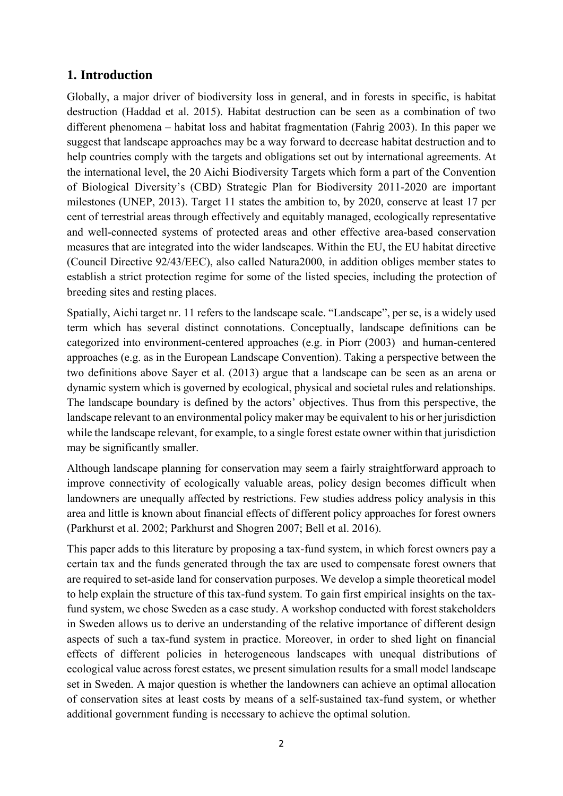## **1. Introduction**

Globally, a major driver of biodiversity loss in general, and in forests in specific, is habitat destruction (Haddad et al. 2015). Habitat destruction can be seen as a combination of two different phenomena – habitat loss and habitat fragmentation (Fahrig 2003). In this paper we suggest that landscape approaches may be a way forward to decrease habitat destruction and to help countries comply with the targets and obligations set out by international agreements. At the international level, the 20 Aichi Biodiversity Targets which form a part of the Convention of Biological Diversity's (CBD) Strategic Plan for Biodiversity 2011-2020 are important milestones (UNEP, 2013). Target 11 states the ambition to, by 2020, conserve at least 17 per cent of terrestrial areas through effectively and equitably managed, ecologically representative and well-connected systems of protected areas and other effective area-based conservation measures that are integrated into the wider landscapes. Within the EU, the EU habitat directive (Council Directive 92/43/EEC), also called Natura2000, in addition obliges member states to establish a strict protection regime for some of the listed species, including the protection of breeding sites and resting places.

Spatially, Aichi target nr. 11 refers to the landscape scale. "Landscape", per se, is a widely used term which has several distinct connotations. Conceptually, landscape definitions can be categorized into environment-centered approaches (e.g. in Piorr (2003) and human-centered approaches (e.g. as in the European Landscape Convention). Taking a perspective between the two definitions above Sayer et al. (2013) argue that a landscape can be seen as an arena or dynamic system which is governed by ecological, physical and societal rules and relationships. The landscape boundary is defined by the actors' objectives. Thus from this perspective, the landscape relevant to an environmental policy maker may be equivalent to his or her jurisdiction while the landscape relevant, for example, to a single forest estate owner within that jurisdiction may be significantly smaller.

Although landscape planning for conservation may seem a fairly straightforward approach to improve connectivity of ecologically valuable areas, policy design becomes difficult when landowners are unequally affected by restrictions. Few studies address policy analysis in this area and little is known about financial effects of different policy approaches for forest owners (Parkhurst et al. 2002; Parkhurst and Shogren 2007; Bell et al. 2016).

This paper adds to this literature by proposing a tax-fund system, in which forest owners pay a certain tax and the funds generated through the tax are used to compensate forest owners that are required to set-aside land for conservation purposes. We develop a simple theoretical model to help explain the structure of this tax-fund system. To gain first empirical insights on the taxfund system, we chose Sweden as a case study. A workshop conducted with forest stakeholders in Sweden allows us to derive an understanding of the relative importance of different design aspects of such a tax-fund system in practice. Moreover, in order to shed light on financial effects of different policies in heterogeneous landscapes with unequal distributions of ecological value across forest estates, we present simulation results for a small model landscape set in Sweden. A major question is whether the landowners can achieve an optimal allocation of conservation sites at least costs by means of a self-sustained tax-fund system, or whether additional government funding is necessary to achieve the optimal solution.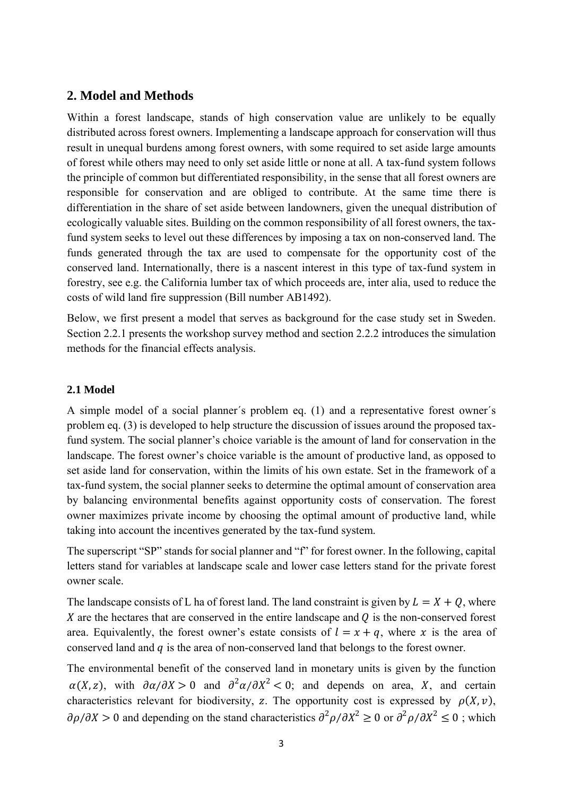## **2. Model and Methods**

Within a forest landscape, stands of high conservation value are unlikely to be equally distributed across forest owners. Implementing a landscape approach for conservation will thus result in unequal burdens among forest owners, with some required to set aside large amounts of forest while others may need to only set aside little or none at all. A tax-fund system follows the principle of common but differentiated responsibility, in the sense that all forest owners are responsible for conservation and are obliged to contribute. At the same time there is differentiation in the share of set aside between landowners, given the unequal distribution of ecologically valuable sites. Building on the common responsibility of all forest owners, the taxfund system seeks to level out these differences by imposing a tax on non-conserved land. The funds generated through the tax are used to compensate for the opportunity cost of the conserved land. Internationally, there is a nascent interest in this type of tax-fund system in forestry, see e.g. the California lumber tax of which proceeds are, inter alia, used to reduce the costs of wild land fire suppression (Bill number AB1492).

Below, we first present a model that serves as background for the case study set in Sweden. Section 2.2.1 presents the workshop survey method and section 2.2.2 introduces the simulation methods for the financial effects analysis.

#### **2.1 Model**

A simple model of a social planner´s problem eq. (1) and a representative forest owner´s problem eq. (3) is developed to help structure the discussion of issues around the proposed taxfund system. The social planner's choice variable is the amount of land for conservation in the landscape. The forest owner's choice variable is the amount of productive land, as opposed to set aside land for conservation, within the limits of his own estate. Set in the framework of a tax-fund system, the social planner seeks to determine the optimal amount of conservation area by balancing environmental benefits against opportunity costs of conservation. The forest owner maximizes private income by choosing the optimal amount of productive land, while taking into account the incentives generated by the tax-fund system.

The superscript "SP" stands for social planner and "f" for forest owner. In the following, capital letters stand for variables at landscape scale and lower case letters stand for the private forest owner scale.

The landscape consists of L ha of forest land. The land constraint is given by  $L = X + Q$ , where X are the hectares that are conserved in the entire landscape and  $\ddot{\theta}$  is the non-conserved forest area. Equivalently, the forest owner's estate consists of  $l = x + q$ , where x is the area of conserved land and  $q$  is the area of non-conserved land that belongs to the forest owner.

The environmental benefit of the conserved land in monetary units is given by the function  $\alpha(X, z)$ , with  $\partial \alpha/\partial X > 0$  and  $\partial^2 \alpha/\partial X^2 < 0$ ; and depends on area, X, and certain characteristics relevant for biodiversity, z. The opportunity cost is expressed by  $\rho(X, \nu)$ ,  $\partial \rho/\partial X > 0$  and depending on the stand characteristics  $\partial^2 \rho/\partial X^2 \ge 0$  or  $\partial^2 \rho/\partial X^2 \le 0$ ; which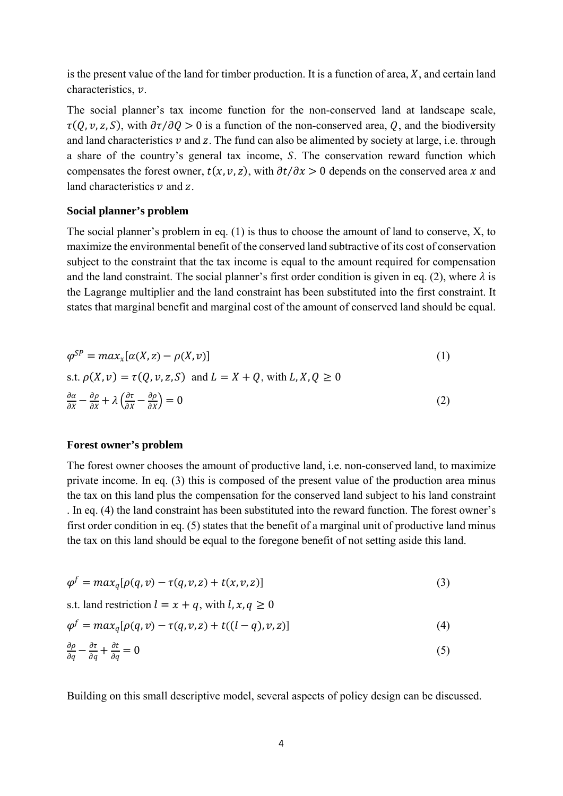is the present value of the land for timber production. It is a function of area,  $X$ , and certain land  $characteristics, v.$ 

The social planner's tax income function for the non-conserved land at landscape scale,  $\tau(Q, v, z, S)$ , with  $\partial \tau / \partial Q > 0$  is a function of the non-conserved area, Q, and the biodiversity and land characteristics  $v$  and  $z$ . The fund can also be alimented by society at large, i.e. through a share of the country's general tax income, S. The conservation reward function which compensates the forest owner,  $t(x, v, z)$ , with  $\partial t / \partial x > 0$  depends on the conserved area x and land characteristics  $\nu$  and  $\nu$ .

#### **Social planner's problem**

The social planner's problem in eq. (1) is thus to choose the amount of land to conserve, X, to maximize the environmental benefit of the conserved land subtractive of its cost of conservation subject to the constraint that the tax income is equal to the amount required for compensation and the land constraint. The social planner's first order condition is given in eq. (2), where  $\lambda$  is the Lagrange multiplier and the land constraint has been substituted into the first constraint. It states that marginal benefit and marginal cost of the amount of conserved land should be equal.

$$
\varphi^{SP} = \max_{x} [\alpha(X, z) - \rho(X, v)]
$$
  
s.t.  $\rho(X, v) = \tau(Q, v, z, S)$  and  $L = X + Q$ , with  $L, X, Q \ge 0$   

$$
\frac{\partial \alpha}{\partial X} - \frac{\partial \rho}{\partial X} + \lambda \left( \frac{\partial \tau}{\partial X} - \frac{\partial \rho}{\partial X} \right) = 0
$$
 (2)

#### **Forest owner's problem**

The forest owner chooses the amount of productive land, i.e. non-conserved land, to maximize private income. In eq. (3) this is composed of the present value of the production area minus the tax on this land plus the compensation for the conserved land subject to his land constraint . In eq. (4) the land constraint has been substituted into the reward function. The forest owner's first order condition in eq. (5) states that the benefit of a marginal unit of productive land minus the tax on this land should be equal to the foregone benefit of not setting aside this land.

$$
\varphi^f = \max_q [\rho(q, v) - \tau(q, v, z) + t(x, v, z)] \tag{3}
$$

s.t. land restriction 
$$
l = x + q
$$
, with  $l, x, q \ge 0$ 

$$
\varphi^f = \max_q [\rho(q, v) - \tau(q, v, z) + t((l - q), v, z)] \tag{4}
$$

$$
\frac{\partial \rho}{\partial q} - \frac{\partial \tau}{\partial q} + \frac{\partial t}{\partial q} = 0 \tag{5}
$$

Building on this small descriptive model, several aspects of policy design can be discussed.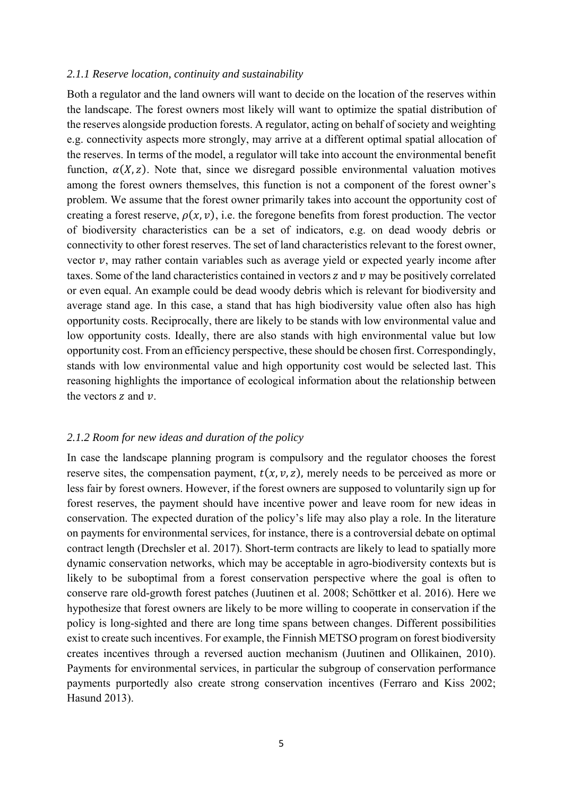#### *2.1.1 Reserve location, continuity and sustainability*

Both a regulator and the land owners will want to decide on the location of the reserves within the landscape. The forest owners most likely will want to optimize the spatial distribution of the reserves alongside production forests. A regulator, acting on behalf of society and weighting e.g. connectivity aspects more strongly, may arrive at a different optimal spatial allocation of the reserves. In terms of the model, a regulator will take into account the environmental benefit function,  $\alpha(X, z)$ . Note that, since we disregard possible environmental valuation motives among the forest owners themselves, this function is not a component of the forest owner's problem. We assume that the forest owner primarily takes into account the opportunity cost of creating a forest reserve,  $\rho(x, y)$ , i.e. the foregone benefits from forest production. The vector of biodiversity characteristics can be a set of indicators, e.g. on dead woody debris or connectivity to other forest reserves. The set of land characteristics relevant to the forest owner, vector  $v$ , may rather contain variables such as average yield or expected yearly income after taxes. Some of the land characteristics contained in vectors  $z$  and  $v$  may be positively correlated or even equal. An example could be dead woody debris which is relevant for biodiversity and average stand age. In this case, a stand that has high biodiversity value often also has high opportunity costs. Reciprocally, there are likely to be stands with low environmental value and low opportunity costs. Ideally, there are also stands with high environmental value but low opportunity cost. From an efficiency perspective, these should be chosen first. Correspondingly, stands with low environmental value and high opportunity cost would be selected last. This reasoning highlights the importance of ecological information about the relationship between the vectors  $z$  and  $v$ .

#### *2.1.2 Room for new ideas and duration of the policy*

In case the landscape planning program is compulsory and the regulator chooses the forest reserve sites, the compensation payment,  $t(x, v, z)$ , merely needs to be perceived as more or less fair by forest owners. However, if the forest owners are supposed to voluntarily sign up for forest reserves, the payment should have incentive power and leave room for new ideas in conservation. The expected duration of the policy's life may also play a role. In the literature on payments for environmental services, for instance, there is a controversial debate on optimal contract length (Drechsler et al. 2017). Short-term contracts are likely to lead to spatially more dynamic conservation networks, which may be acceptable in agro-biodiversity contexts but is likely to be suboptimal from a forest conservation perspective where the goal is often to conserve rare old-growth forest patches (Juutinen et al. 2008; Schöttker et al. 2016). Here we hypothesize that forest owners are likely to be more willing to cooperate in conservation if the policy is long-sighted and there are long time spans between changes. Different possibilities exist to create such incentives. For example, the Finnish METSO program on forest biodiversity creates incentives through a reversed auction mechanism (Juutinen and Ollikainen, 2010). Payments for environmental services, in particular the subgroup of conservation performance payments purportedly also create strong conservation incentives (Ferraro and Kiss 2002; Hasund 2013).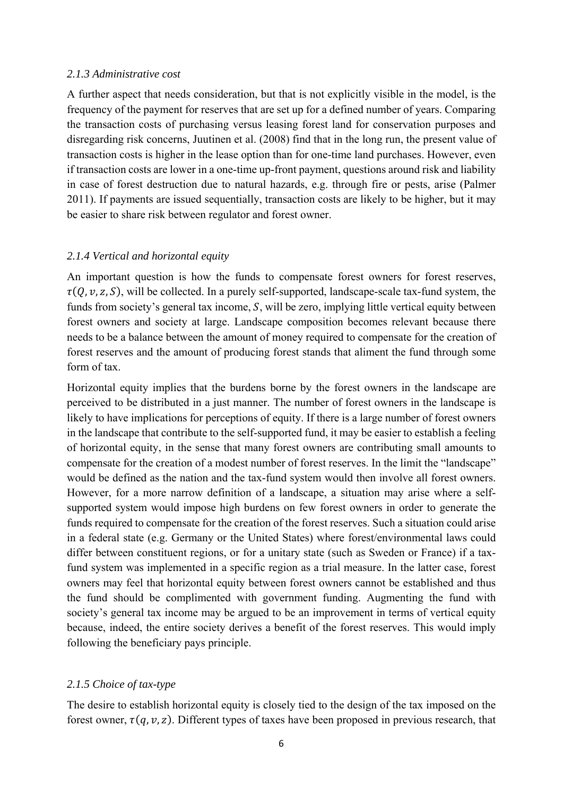#### *2.1.3 Administrative cost*

A further aspect that needs consideration, but that is not explicitly visible in the model, is the frequency of the payment for reserves that are set up for a defined number of years. Comparing the transaction costs of purchasing versus leasing forest land for conservation purposes and disregarding risk concerns, Juutinen et al. (2008) find that in the long run, the present value of transaction costs is higher in the lease option than for one-time land purchases. However, even if transaction costs are lower in a one-time up-front payment, questions around risk and liability in case of forest destruction due to natural hazards, e.g. through fire or pests, arise (Palmer 2011). If payments are issued sequentially, transaction costs are likely to be higher, but it may be easier to share risk between regulator and forest owner.

#### *2.1.4 Vertical and horizontal equity*

An important question is how the funds to compensate forest owners for forest reserves,  $\tau(Q, v, z, S)$ , will be collected. In a purely self-supported, landscape-scale tax-fund system, the funds from society's general tax income,  $S$ , will be zero, implying little vertical equity between forest owners and society at large. Landscape composition becomes relevant because there needs to be a balance between the amount of money required to compensate for the creation of forest reserves and the amount of producing forest stands that aliment the fund through some form of tax.

Horizontal equity implies that the burdens borne by the forest owners in the landscape are perceived to be distributed in a just manner. The number of forest owners in the landscape is likely to have implications for perceptions of equity. If there is a large number of forest owners in the landscape that contribute to the self-supported fund, it may be easier to establish a feeling of horizontal equity, in the sense that many forest owners are contributing small amounts to compensate for the creation of a modest number of forest reserves. In the limit the "landscape" would be defined as the nation and the tax-fund system would then involve all forest owners. However, for a more narrow definition of a landscape, a situation may arise where a selfsupported system would impose high burdens on few forest owners in order to generate the funds required to compensate for the creation of the forest reserves. Such a situation could arise in a federal state (e.g. Germany or the United States) where forest/environmental laws could differ between constituent regions, or for a unitary state (such as Sweden or France) if a taxfund system was implemented in a specific region as a trial measure. In the latter case, forest owners may feel that horizontal equity between forest owners cannot be established and thus the fund should be complimented with government funding. Augmenting the fund with society's general tax income may be argued to be an improvement in terms of vertical equity because, indeed, the entire society derives a benefit of the forest reserves. This would imply following the beneficiary pays principle.

### *2.1.5 Choice of tax-type*

The desire to establish horizontal equity is closely tied to the design of the tax imposed on the forest owner,  $\tau(q, \nu, z)$ . Different types of taxes have been proposed in previous research, that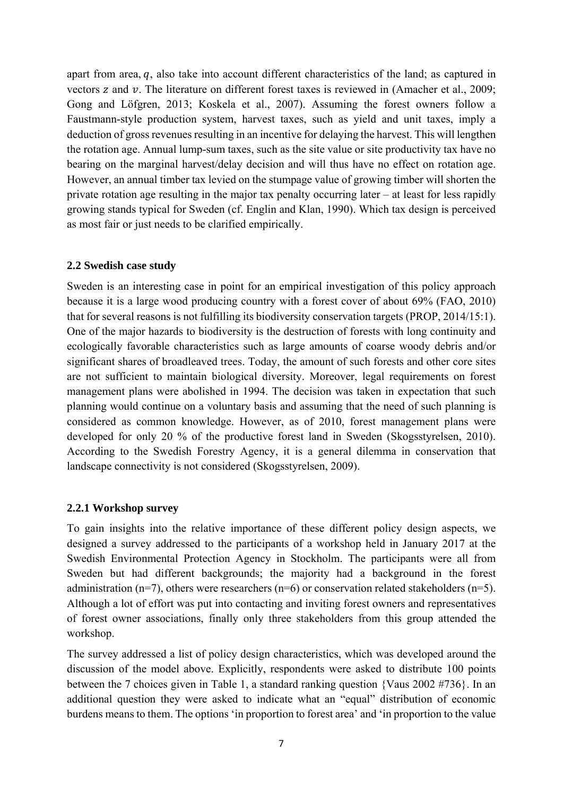apart from area,  $q$ , also take into account different characteristics of the land; as captured in vectors  $z$  and  $v$ . The literature on different forest taxes is reviewed in (Amacher et al., 2009; Gong and Löfgren, 2013; Koskela et al., 2007). Assuming the forest owners follow a Faustmann-style production system, harvest taxes, such as yield and unit taxes, imply a deduction of gross revenues resulting in an incentive for delaying the harvest. This will lengthen the rotation age. Annual lump-sum taxes, such as the site value or site productivity tax have no bearing on the marginal harvest/delay decision and will thus have no effect on rotation age. However, an annual timber tax levied on the stumpage value of growing timber will shorten the private rotation age resulting in the major tax penalty occurring later – at least for less rapidly growing stands typical for Sweden (cf. Englin and Klan, 1990). Which tax design is perceived as most fair or just needs to be clarified empirically.

#### **2.2 Swedish case study**

Sweden is an interesting case in point for an empirical investigation of this policy approach because it is a large wood producing country with a forest cover of about 69% (FAO, 2010) that for several reasons is not fulfilling its biodiversity conservation targets (PROP, 2014/15:1). One of the major hazards to biodiversity is the destruction of forests with long continuity and ecologically favorable characteristics such as large amounts of coarse woody debris and/or significant shares of broadleaved trees. Today, the amount of such forests and other core sites are not sufficient to maintain biological diversity. Moreover, legal requirements on forest management plans were abolished in 1994. The decision was taken in expectation that such planning would continue on a voluntary basis and assuming that the need of such planning is considered as common knowledge. However, as of 2010, forest management plans were developed for only 20 % of the productive forest land in Sweden (Skogsstyrelsen, 2010). According to the Swedish Forestry Agency, it is a general dilemma in conservation that landscape connectivity is not considered (Skogsstyrelsen, 2009).

### **2.2.1 Workshop survey**

To gain insights into the relative importance of these different policy design aspects, we designed a survey addressed to the participants of a workshop held in January 2017 at the Swedish Environmental Protection Agency in Stockholm. The participants were all from Sweden but had different backgrounds; the majority had a background in the forest administration (n=7), others were researchers (n=6) or conservation related stakeholders (n=5). Although a lot of effort was put into contacting and inviting forest owners and representatives of forest owner associations, finally only three stakeholders from this group attended the workshop.

The survey addressed a list of policy design characteristics, which was developed around the discussion of the model above. Explicitly, respondents were asked to distribute 100 points between the 7 choices given in Table 1, a standard ranking question {Vaus 2002 #736}. In an additional question they were asked to indicate what an "equal" distribution of economic burdens means to them. The options 'in proportion to forest area' and 'in proportion to the value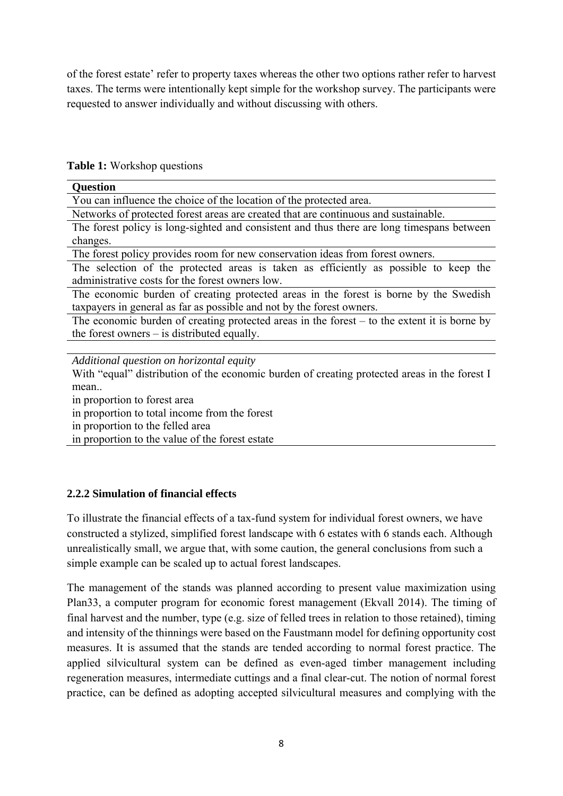of the forest estate' refer to property taxes whereas the other two options rather refer to harvest taxes. The terms were intentionally kept simple for the workshop survey. The participants were requested to answer individually and without discussing with others.

| <b>Question</b>                                                                              |  |  |  |  |  |  |  |
|----------------------------------------------------------------------------------------------|--|--|--|--|--|--|--|
| You can influence the choice of the location of the protected area.                          |  |  |  |  |  |  |  |
| Networks of protected forest areas are created that are continuous and sustainable.          |  |  |  |  |  |  |  |
| The forest policy is long-sighted and consistent and thus there are long timespans between   |  |  |  |  |  |  |  |
| changes.                                                                                     |  |  |  |  |  |  |  |
| The forest policy provides room for new conservation ideas from forest owners.               |  |  |  |  |  |  |  |
| The selection of the protected areas is taken as efficiently as possible to keep the         |  |  |  |  |  |  |  |
| administrative costs for the forest owners low.                                              |  |  |  |  |  |  |  |
| The economic burden of creating protected areas in the forest is borne by the Swedish        |  |  |  |  |  |  |  |
| taxpayers in general as far as possible and not by the forest owners.                        |  |  |  |  |  |  |  |
| The economic burden of creating protected areas in the forest – to the extent it is borne by |  |  |  |  |  |  |  |
| the forest owners $-$ is distributed equally.                                                |  |  |  |  |  |  |  |
|                                                                                              |  |  |  |  |  |  |  |
| Additional question on horizontal equity                                                     |  |  |  |  |  |  |  |
| With "equal" distribution of the economic burden of creating protected areas in the forest I |  |  |  |  |  |  |  |
| mean                                                                                         |  |  |  |  |  |  |  |
| in proportion to forget area                                                                 |  |  |  |  |  |  |  |

**Table 1:** Workshop questions

in proportion to forest area

in proportion to total income from the forest

in proportion to the felled area

in proportion to the value of the forest estate

#### **2.2.2 Simulation of financial effects**

To illustrate the financial effects of a tax-fund system for individual forest owners, we have constructed a stylized, simplified forest landscape with 6 estates with 6 stands each. Although unrealistically small, we argue that, with some caution, the general conclusions from such a simple example can be scaled up to actual forest landscapes.

The management of the stands was planned according to present value maximization using Plan33, a computer program for economic forest management (Ekvall 2014). The timing of final harvest and the number, type (e.g. size of felled trees in relation to those retained), timing and intensity of the thinnings were based on the Faustmann model for defining opportunity cost measures. It is assumed that the stands are tended according to normal forest practice. The applied silvicultural system can be defined as even-aged timber management including regeneration measures, intermediate cuttings and a final clear-cut. The notion of normal forest practice, can be defined as adopting accepted silvicultural measures and complying with the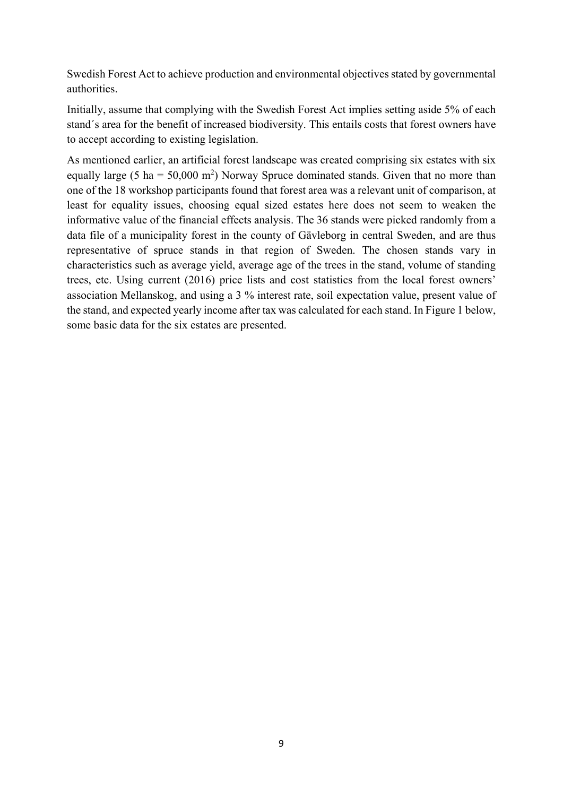Swedish Forest Act to achieve production and environmental objectives stated by governmental authorities.

Initially, assume that complying with the Swedish Forest Act implies setting aside 5% of each stand´s area for the benefit of increased biodiversity. This entails costs that forest owners have to accept according to existing legislation.

As mentioned earlier, an artificial forest landscape was created comprising six estates with six equally large (5 ha =  $50,000$  m<sup>2</sup>) Norway Spruce dominated stands. Given that no more than one of the 18 workshop participants found that forest area was a relevant unit of comparison, at least for equality issues, choosing equal sized estates here does not seem to weaken the informative value of the financial effects analysis. The 36 stands were picked randomly from a data file of a municipality forest in the county of Gävleborg in central Sweden, and are thus representative of spruce stands in that region of Sweden. The chosen stands vary in characteristics such as average yield, average age of the trees in the stand, volume of standing trees, etc. Using current (2016) price lists and cost statistics from the local forest owners' association Mellanskog, and using a 3 % interest rate, soil expectation value, present value of the stand, and expected yearly income after tax was calculated for each stand. In Figure 1 below, some basic data for the six estates are presented.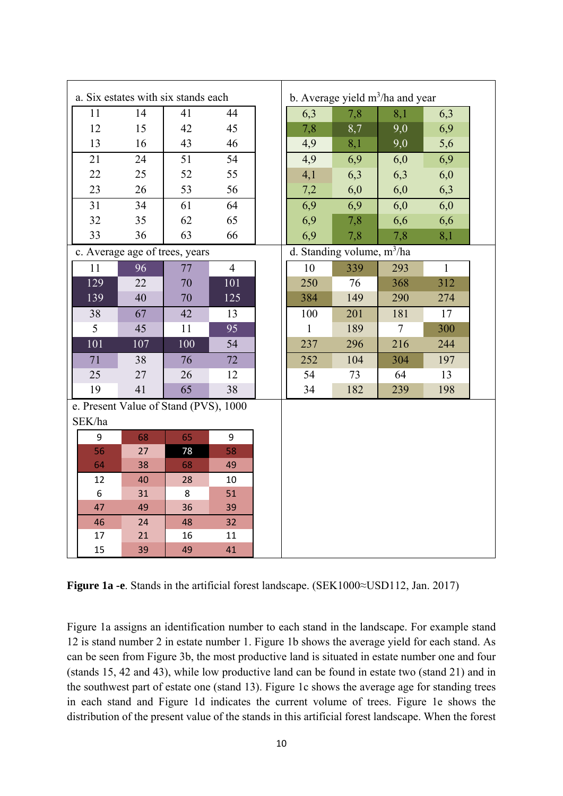| a. Six estates with six stands each   |                                |     |                  |  |              | b. Average yield $m^3$ /ha and year |     |              |  |
|---------------------------------------|--------------------------------|-----|------------------|--|--------------|-------------------------------------|-----|--------------|--|
| 11                                    | 14                             | 41  | 44               |  | 6,3          | 7,8                                 | 8,1 | 6,3          |  |
| 12                                    | 15                             | 42  | 45               |  | 7,8          | 8,7                                 | 9,0 | 6,9          |  |
| 13                                    | 16                             | 43  | 46               |  | 4,9          | 8,1                                 | 9,0 | 5,6          |  |
| 21                                    | 24                             | 51  | 54               |  | 4,9          | 6,9                                 | 6,0 | 6,9          |  |
| 22                                    | 25                             | 52  | 55               |  | 4,1          | 6,3                                 | 6,3 | 6,0          |  |
| 23                                    | 26                             | 53  | 56               |  | 7,2          | 6,0                                 | 6,0 | 6,3          |  |
| 31                                    | 34                             | 61  | 64               |  | 6,9          | 6,9                                 | 6,0 | 6,0          |  |
| 32                                    | 35                             | 62  | 65               |  | 6,9          | 7,8                                 | 6,6 | 6,6          |  |
| 33                                    | 36                             | 63  | 66               |  | 6,9          | 7,8                                 | 7,8 | 8,1          |  |
|                                       | c. Average age of trees, years |     |                  |  |              | d. Standing volume, $m^3/ha$        |     |              |  |
| 11                                    | 96                             | 77  | $\overline{4}$   |  | 10           | 339                                 | 293 | $\mathbf{1}$ |  |
| 129                                   | 22                             | 70  | 101              |  | 250          | 76                                  | 368 | 312          |  |
| 139                                   | 40                             | 70  | $\overline{125}$ |  | 384          | 149                                 | 290 | 274          |  |
| 38                                    | 67                             | 42  | 13               |  | 100          | 201                                 | 181 | 17           |  |
| 5                                     | 45                             | 11  | 95               |  | $\mathbf{1}$ | 189                                 | 7   | 300          |  |
| 101                                   | 107                            | 100 | 54               |  | 237          | 296                                 | 216 | 244          |  |
| 71                                    | 38                             | 76  | 72               |  | 252          | 104                                 | 304 | 197          |  |
| 25                                    | 27                             | 26  | 12               |  | 54           | 73                                  | 64  | 13           |  |
| 19                                    | 41                             | 65  | 38               |  | 34           | 182                                 | 239 | 198          |  |
| e. Present Value of Stand (PVS), 1000 |                                |     |                  |  |              |                                     |     |              |  |
| SEK/ha                                |                                |     |                  |  |              |                                     |     |              |  |
| 9                                     | 68                             | 65  | 9                |  |              |                                     |     |              |  |
| 56                                    | 27                             | 78  | 58               |  |              |                                     |     |              |  |
| 64                                    | 38                             | 68  | 49               |  |              |                                     |     |              |  |
| 12                                    | 40                             | 28  | 10               |  |              |                                     |     |              |  |
| 6                                     | 31                             | 8   | 51               |  |              |                                     |     |              |  |
| 47                                    | 49                             | 36  | 39               |  |              |                                     |     |              |  |
| 46                                    | 24                             | 48  | 32               |  |              |                                     |     |              |  |
| 17                                    | 21                             | 16  | 11               |  |              |                                     |     |              |  |
| 15                                    | 39                             | 49  | 41               |  |              |                                     |     |              |  |

**Figure 1a -e**. Stands in the artificial forest landscape. (SEK1000≈USD112, Jan. 2017)

Figure 1a assigns an identification number to each stand in the landscape. For example stand 12 is stand number 2 in estate number 1. Figure 1b shows the average yield for each stand. As can be seen from Figure 3b, the most productive land is situated in estate number one and four (stands 15, 42 and 43), while low productive land can be found in estate two (stand 21) and in the southwest part of estate one (stand 13). Figure 1c shows the average age for standing trees in each stand and Figure 1d indicates the current volume of trees. Figure 1e shows the distribution of the present value of the stands in this artificial forest landscape. When the forest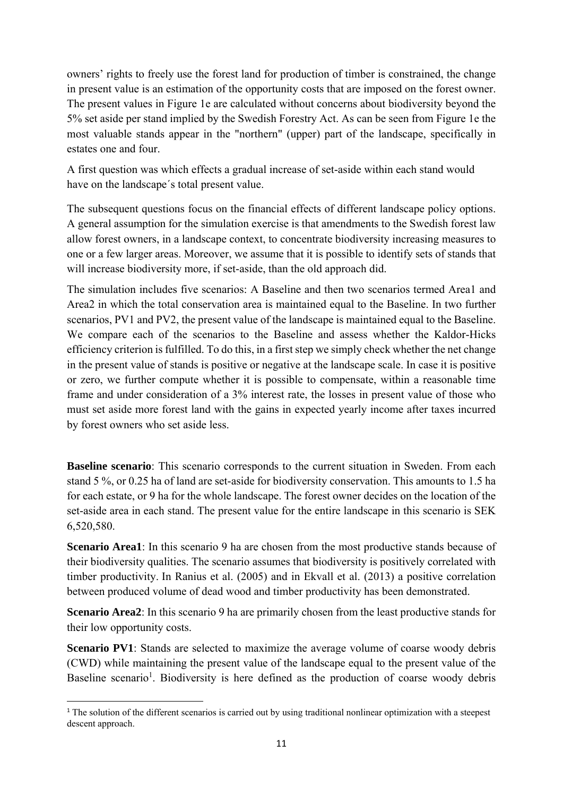owners' rights to freely use the forest land for production of timber is constrained, the change in present value is an estimation of the opportunity costs that are imposed on the forest owner. The present values in Figure 1e are calculated without concerns about biodiversity beyond the 5% set aside per stand implied by the Swedish Forestry Act. As can be seen from Figure 1e the most valuable stands appear in the "northern" (upper) part of the landscape, specifically in estates one and four.

A first question was which effects a gradual increase of set-aside within each stand would have on the landscape´s total present value.

The subsequent questions focus on the financial effects of different landscape policy options. A general assumption for the simulation exercise is that amendments to the Swedish forest law allow forest owners, in a landscape context, to concentrate biodiversity increasing measures to one or a few larger areas. Moreover, we assume that it is possible to identify sets of stands that will increase biodiversity more, if set-aside, than the old approach did.

The simulation includes five scenarios: A Baseline and then two scenarios termed Area1 and Area2 in which the total conservation area is maintained equal to the Baseline. In two further scenarios, PV1 and PV2, the present value of the landscape is maintained equal to the Baseline. We compare each of the scenarios to the Baseline and assess whether the Kaldor-Hicks efficiency criterion is fulfilled. To do this, in a first step we simply check whether the net change in the present value of stands is positive or negative at the landscape scale. In case it is positive or zero, we further compute whether it is possible to compensate, within a reasonable time frame and under consideration of a 3% interest rate, the losses in present value of those who must set aside more forest land with the gains in expected yearly income after taxes incurred by forest owners who set aside less.

**Baseline scenario**: This scenario corresponds to the current situation in Sweden. From each stand 5 %, or 0.25 ha of land are set-aside for biodiversity conservation. This amounts to 1.5 ha for each estate, or 9 ha for the whole landscape. The forest owner decides on the location of the set-aside area in each stand. The present value for the entire landscape in this scenario is SEK 6,520,580.

**Scenario Area1**: In this scenario 9 ha are chosen from the most productive stands because of their biodiversity qualities. The scenario assumes that biodiversity is positively correlated with timber productivity. In Ranius et al. (2005) and in Ekvall et al. (2013) a positive correlation between produced volume of dead wood and timber productivity has been demonstrated.

**Scenario Area2**: In this scenario 9 ha are primarily chosen from the least productive stands for their low opportunity costs.

**Scenario PV1**: Stands are selected to maximize the average volume of coarse woody debris (CWD) while maintaining the present value of the landscape equal to the present value of the Baseline scenario<sup>1</sup>. Biodiversity is here defined as the production of coarse woody debris

 <sup>1</sup> The solution of the different scenarios is carried out by using traditional nonlinear optimization with a steepest descent approach.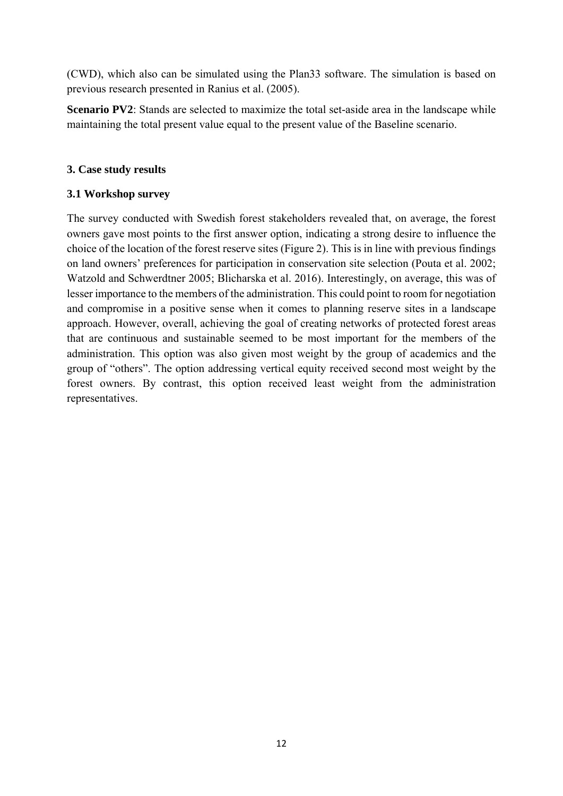(CWD), which also can be simulated using the Plan33 software. The simulation is based on previous research presented in Ranius et al. (2005).

**Scenario PV2**: Stands are selected to maximize the total set-aside area in the landscape while maintaining the total present value equal to the present value of the Baseline scenario.

## **3. Case study results**

## **3.1 Workshop survey**

The survey conducted with Swedish forest stakeholders revealed that, on average, the forest owners gave most points to the first answer option, indicating a strong desire to influence the choice of the location of the forest reserve sites (Figure 2). This is in line with previous findings on land owners' preferences for participation in conservation site selection (Pouta et al. 2002; Watzold and Schwerdtner 2005; Blicharska et al. 2016). Interestingly, on average, this was of lesser importance to the members of the administration. This could point to room for negotiation and compromise in a positive sense when it comes to planning reserve sites in a landscape approach. However, overall, achieving the goal of creating networks of protected forest areas that are continuous and sustainable seemed to be most important for the members of the administration. This option was also given most weight by the group of academics and the group of "others". The option addressing vertical equity received second most weight by the forest owners. By contrast, this option received least weight from the administration representatives.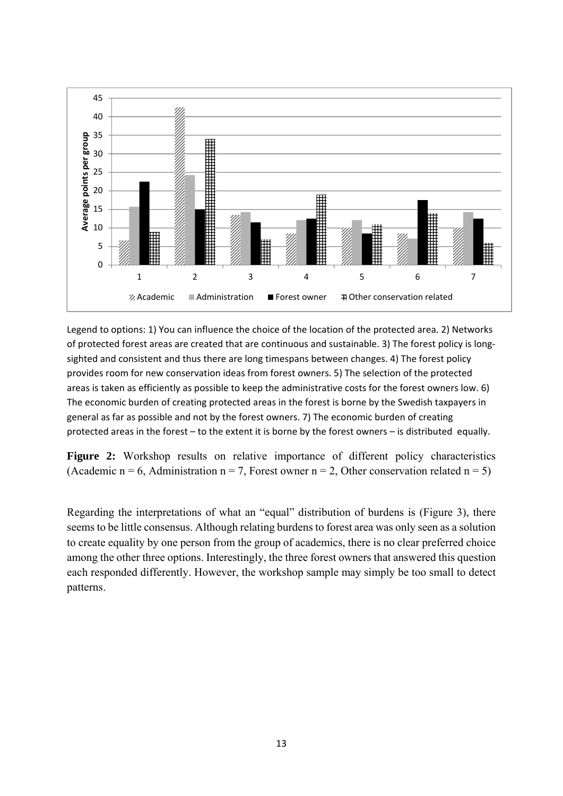

Legend to options: 1) You can influence the choice of the location of the protected area. 2) Networks of protected forest areas are created that are continuous and sustainable. 3) The forest policy is long‐ sighted and consistent and thus there are long timespans between changes. 4) The forest policy provides room for new conservation ideas from forest owners. 5) The selection of the protected areas is taken as efficiently as possible to keep the administrative costs for the forest owners low. 6) The economic burden of creating protected areas in the forest is borne by the Swedish taxpayers in general as far as possible and not by the forest owners. 7) The economic burden of creating protected areas in the forest – to the extent it is borne by the forest owners – is distributed equally.

Figure 2: Workshop results on relative importance of different policy characteristics (Academic n = 6, Administration n = 7, Forest owner n = 2, Other conservation related n = 5)

Regarding the interpretations of what an "equal" distribution of burdens is (Figure 3), there seems to be little consensus. Although relating burdens to forest area was only seen as a solution to create equality by one person from the group of academics, there is no clear preferred choice among the other three options. Interestingly, the three forest owners that answered this question each responded differently. However, the workshop sample may simply be too small to detect patterns.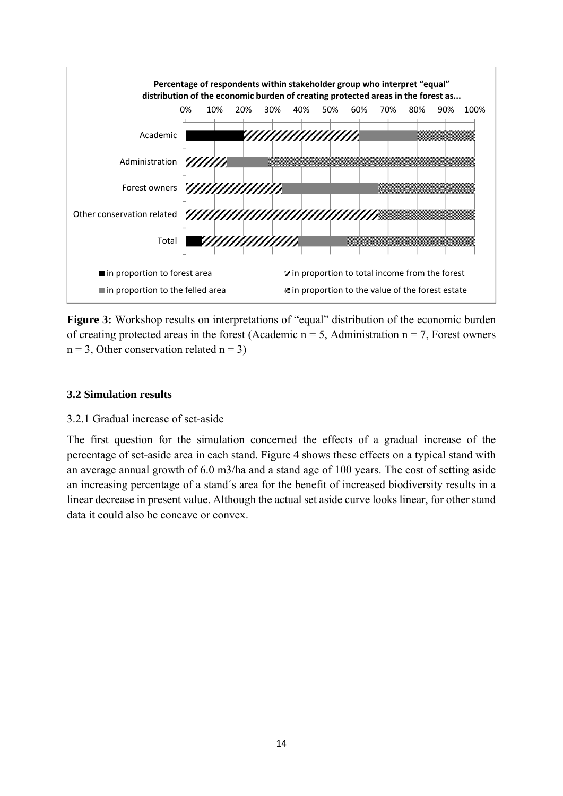

**Figure 3:** Workshop results on interpretations of "equal" distribution of the economic burden of creating protected areas in the forest (Academic  $n = 5$ , Administration  $n = 7$ , Forest owners  $n = 3$ , Other conservation related  $n = 3$ )

### **3.2 Simulation results**

### 3.2.1 Gradual increase of set-aside

The first question for the simulation concerned the effects of a gradual increase of the percentage of set-aside area in each stand. Figure 4 shows these effects on a typical stand with an average annual growth of 6.0 m3/ha and a stand age of 100 years. The cost of setting aside an increasing percentage of a stand´s area for the benefit of increased biodiversity results in a linear decrease in present value. Although the actual set aside curve looks linear, for other stand data it could also be concave or convex.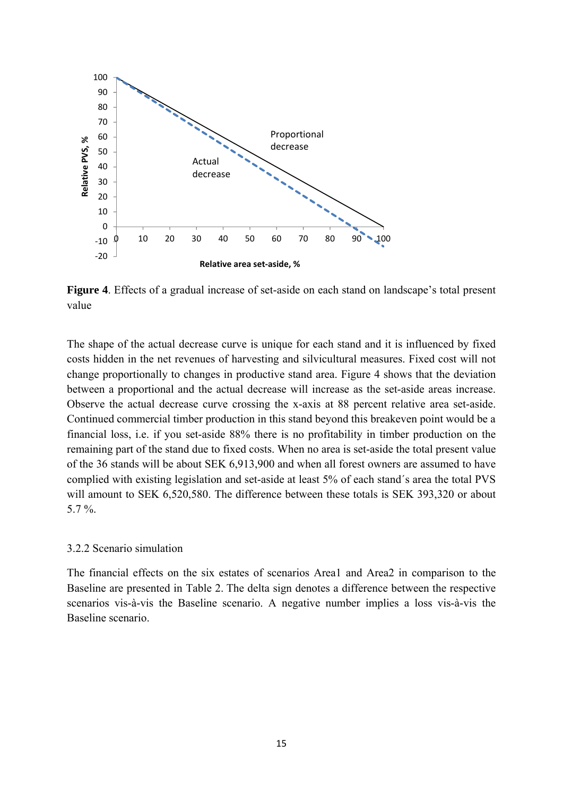

**Figure 4**. Effects of a gradual increase of set-aside on each stand on landscape's total present value

The shape of the actual decrease curve is unique for each stand and it is influenced by fixed costs hidden in the net revenues of harvesting and silvicultural measures. Fixed cost will not change proportionally to changes in productive stand area. Figure 4 shows that the deviation between a proportional and the actual decrease will increase as the set-aside areas increase. Observe the actual decrease curve crossing the x-axis at 88 percent relative area set-aside. Continued commercial timber production in this stand beyond this breakeven point would be a financial loss, i.e. if you set-aside 88% there is no profitability in timber production on the remaining part of the stand due to fixed costs. When no area is set-aside the total present value of the 36 stands will be about SEK 6,913,900 and when all forest owners are assumed to have complied with existing legislation and set-aside at least 5% of each stand´s area the total PVS will amount to SEK 6,520,580. The difference between these totals is SEK 393,320 or about 5.7 %.

#### 3.2.2 Scenario simulation

The financial effects on the six estates of scenarios Area1 and Area2 in comparison to the Baseline are presented in Table 2. The delta sign denotes a difference between the respective scenarios vis-à-vis the Baseline scenario. A negative number implies a loss vis-à-vis the Baseline scenario.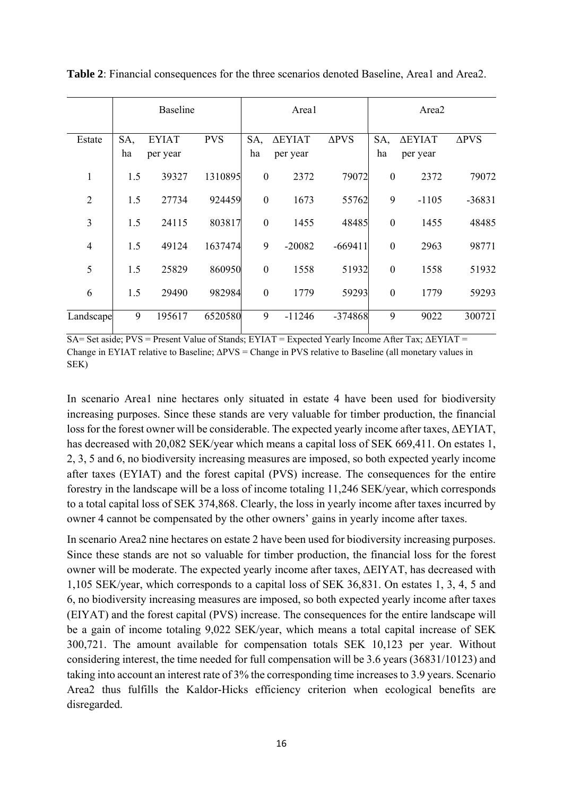|                | <b>Baseline</b> |                          |            | Area1            |                    |              | Area2            |                    |              |
|----------------|-----------------|--------------------------|------------|------------------|--------------------|--------------|------------------|--------------------|--------------|
| Estate         | SA,<br>ha       | <b>EYIAT</b><br>per year | <b>PVS</b> | SA,<br>ha        | ΔΕΥΙΑΤ<br>per year | $\Delta$ PVS | SA,<br>ha        | ΔΕΥΙΑΤ<br>per year | $\Delta$ PVS |
| $\mathbf{1}$   | 1.5             | 39327                    | 1310895    | $\boldsymbol{0}$ | 2372               | 79072        | $\boldsymbol{0}$ | 2372               | 79072        |
| $\overline{2}$ | 1.5             | 27734                    | 924459     | $\boldsymbol{0}$ | 1673               | 55762        | 9                | $-1105$            | $-36831$     |
| 3              | 1.5             | 24115                    | 803817     | $\boldsymbol{0}$ | 1455               | 48485        | $\boldsymbol{0}$ | 1455               | 48485        |
| $\overline{4}$ | 1.5             | 49124                    | 1637474    | 9                | $-20082$           | $-669411$    | $\boldsymbol{0}$ | 2963               | 98771        |
| 5              | 1.5             | 25829                    | 860950     | $\boldsymbol{0}$ | 1558               | 51932        | $\boldsymbol{0}$ | 1558               | 51932        |
| 6              | 1.5             | 29490                    | 982984     | $\boldsymbol{0}$ | 1779               | 59293        | $\boldsymbol{0}$ | 1779               | 59293        |
| Landscape      | 9               | 195617                   | 6520580    | 9                | $-11246$           | $-374868$    | 9                | 9022               | 300721       |

**Table 2**: Financial consequences for the three scenarios denoted Baseline, Area1 and Area2.

SA= Set aside; PVS = Present Value of Stands; EYIAT = Expected Yearly Income After Tax; ΔEYIAT = Change in EYIAT relative to Baseline; ΔPVS = Change in PVS relative to Baseline (all monetary values in SEK)

In scenario Area1 nine hectares only situated in estate 4 have been used for biodiversity increasing purposes. Since these stands are very valuable for timber production, the financial loss for the forest owner will be considerable. The expected yearly income after taxes, ΔEYIAT, has decreased with 20,082 SEK/year which means a capital loss of SEK 669,411. On estates 1, 2, 3, 5 and 6, no biodiversity increasing measures are imposed, so both expected yearly income after taxes (EYIAT) and the forest capital (PVS) increase. The consequences for the entire forestry in the landscape will be a loss of income totaling 11,246 SEK/year, which corresponds to a total capital loss of SEK 374,868. Clearly, the loss in yearly income after taxes incurred by owner 4 cannot be compensated by the other owners' gains in yearly income after taxes.

In scenario Area2 nine hectares on estate 2 have been used for biodiversity increasing purposes. Since these stands are not so valuable for timber production, the financial loss for the forest owner will be moderate. The expected yearly income after taxes, ΔEIYAT, has decreased with 1,105 SEK/year, which corresponds to a capital loss of SEK 36,831. On estates 1, 3, 4, 5 and 6, no biodiversity increasing measures are imposed, so both expected yearly income after taxes (EIYAT) and the forest capital (PVS) increase. The consequences for the entire landscape will be a gain of income totaling 9,022 SEK/year, which means a total capital increase of SEK 300,721. The amount available for compensation totals SEK 10,123 per year. Without considering interest, the time needed for full compensation will be 3.6 years (36831/10123) and taking into account an interest rate of 3% the corresponding time increases to 3.9 years. Scenario Area2 thus fulfills the Kaldor-Hicks efficiency criterion when ecological benefits are disregarded.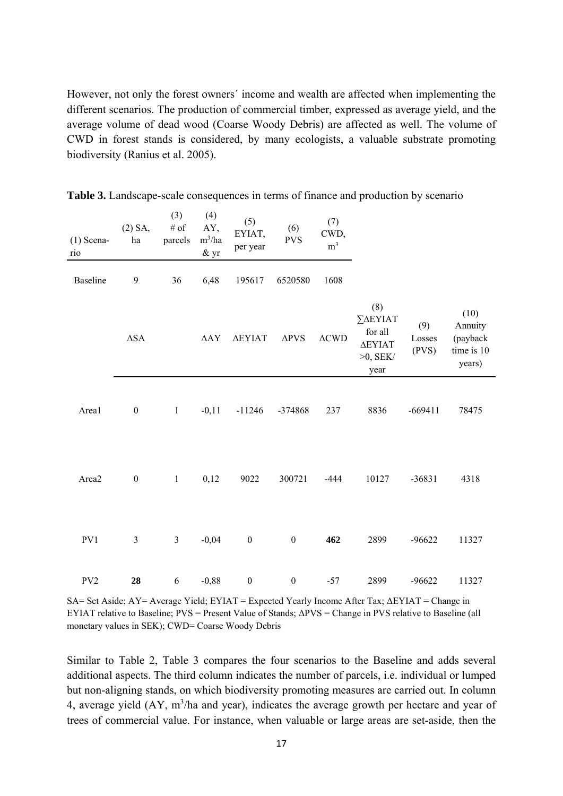However, not only the forest owners´ income and wealth are affected when implementing the different scenarios. The production of commercial timber, expressed as average yield, and the average volume of dead wood (Coarse Woody Debris) are affected as well. The volume of CWD in forest stands is considered, by many ecologists, a valuable substrate promoting biodiversity (Ranius et al. 2005).

| $(1)$ Scena-<br>rio | $(2)$ SA,<br>ha   | (3)<br>$\#$ of<br>parcels | (4)<br>AY,<br>$m^3/ha$<br>& yr | (5)<br>EYIAT,<br>per year | (6)<br><b>PVS</b>   | (7)<br>CWD,<br>m <sup>3</sup> |                                                                   |                        |                                                     |
|---------------------|-------------------|---------------------------|--------------------------------|---------------------------|---------------------|-------------------------------|-------------------------------------------------------------------|------------------------|-----------------------------------------------------|
| Baseline            | $\boldsymbol{9}$  | 36                        | 6,48                           | 195617                    | 6520580             | 1608                          |                                                                   |                        |                                                     |
|                     | $\Delta\text{SA}$ |                           | $\Delta \text{AY}$             | ΔΕΥΙΑΤ                    | $\Delta \text{PVS}$ | $\Delta{\rm CWD}$             | (8)<br><b>ΣΔΕΥΙΑΤ</b><br>for all<br>ΔΕΥΙΑΤ<br>$>0$ , SEK/<br>year | (9)<br>Losses<br>(PVS) | (10)<br>Annuity<br>(payback<br>time is 10<br>years) |
| Area1               | $\boldsymbol{0}$  | $\mathbf{1}$              | $-0,11$                        | $-11246$                  | -374868             | 237                           | 8836                                                              | $-669411$              | 78475                                               |
| Area <sub>2</sub>   | $\boldsymbol{0}$  | $\,1\,$                   | 0,12                           | 9022                      | 300721              | $-444$                        | 10127                                                             | $-36831$               | 4318                                                |
| PV1                 | $\mathfrak{Z}$    | $\mathfrak{Z}$            | $-0,04$                        | $\boldsymbol{0}$          | $\boldsymbol{0}$    | 462                           | 2899                                                              | $-96622$               | 11327                                               |
| PV <sub>2</sub>     | 28                | 6                         | $-0,88$                        | $\boldsymbol{0}$          | $\boldsymbol{0}$    | $-57$                         | 2899                                                              | $-96622$               | 11327                                               |

Table 3. Landscape-scale consequences in terms of finance and production by scenario

SA= Set Aside; AY= Average Yield; EYIAT = Expected Yearly Income After Tax; ΔEYIAT = Change in EYIAT relative to Baseline; PVS = Present Value of Stands; ΔPVS = Change in PVS relative to Baseline (all monetary values in SEK); CWD= Coarse Woody Debris

Similar to Table 2, Table 3 compares the four scenarios to the Baseline and adds several additional aspects. The third column indicates the number of parcels, i.e. individual or lumped but non-aligning stands, on which biodiversity promoting measures are carried out. In column 4, average yield  $(AY, m^3/ha$  and year), indicates the average growth per hectare and year of trees of commercial value. For instance, when valuable or large areas are set-aside, then the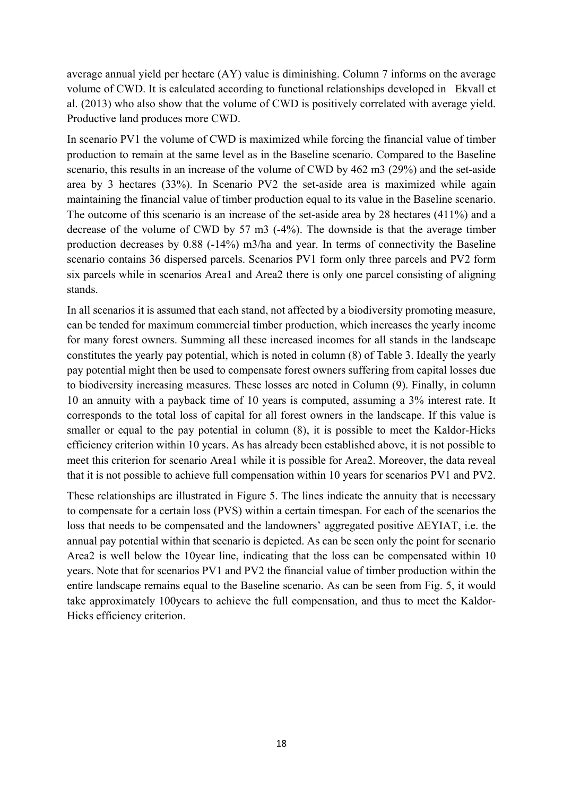average annual yield per hectare (AY) value is diminishing. Column 7 informs on the average volume of CWD. It is calculated according to functional relationships developed in Ekvall et al. (2013) who also show that the volume of CWD is positively correlated with average yield. Productive land produces more CWD.

In scenario PV1 the volume of CWD is maximized while forcing the financial value of timber production to remain at the same level as in the Baseline scenario. Compared to the Baseline scenario, this results in an increase of the volume of CWD by 462 m3 (29%) and the set-aside area by 3 hectares (33%). In Scenario PV2 the set-aside area is maximized while again maintaining the financial value of timber production equal to its value in the Baseline scenario. The outcome of this scenario is an increase of the set-aside area by 28 hectares (411%) and a decrease of the volume of CWD by 57 m3 (-4%). The downside is that the average timber production decreases by 0.88 (-14%) m3/ha and year. In terms of connectivity the Baseline scenario contains 36 dispersed parcels. Scenarios PV1 form only three parcels and PV2 form six parcels while in scenarios Area1 and Area2 there is only one parcel consisting of aligning stands.

In all scenarios it is assumed that each stand, not affected by a biodiversity promoting measure, can be tended for maximum commercial timber production, which increases the yearly income for many forest owners. Summing all these increased incomes for all stands in the landscape constitutes the yearly pay potential, which is noted in column (8) of Table 3. Ideally the yearly pay potential might then be used to compensate forest owners suffering from capital losses due to biodiversity increasing measures. These losses are noted in Column (9). Finally, in column 10 an annuity with a payback time of 10 years is computed, assuming a 3% interest rate. It corresponds to the total loss of capital for all forest owners in the landscape. If this value is smaller or equal to the pay potential in column (8), it is possible to meet the Kaldor-Hicks efficiency criterion within 10 years. As has already been established above, it is not possible to meet this criterion for scenario Area1 while it is possible for Area2. Moreover, the data reveal that it is not possible to achieve full compensation within 10 years for scenarios PV1 and PV2.

These relationships are illustrated in Figure 5. The lines indicate the annuity that is necessary to compensate for a certain loss (PVS) within a certain timespan. For each of the scenarios the loss that needs to be compensated and the landowners' aggregated positive ∆EYIAT, i.e. the annual pay potential within that scenario is depicted. As can be seen only the point for scenario Area2 is well below the 10year line, indicating that the loss can be compensated within 10 years. Note that for scenarios PV1 and PV2 the financial value of timber production within the entire landscape remains equal to the Baseline scenario. As can be seen from Fig. 5, it would take approximately 100years to achieve the full compensation, and thus to meet the Kaldor-Hicks efficiency criterion.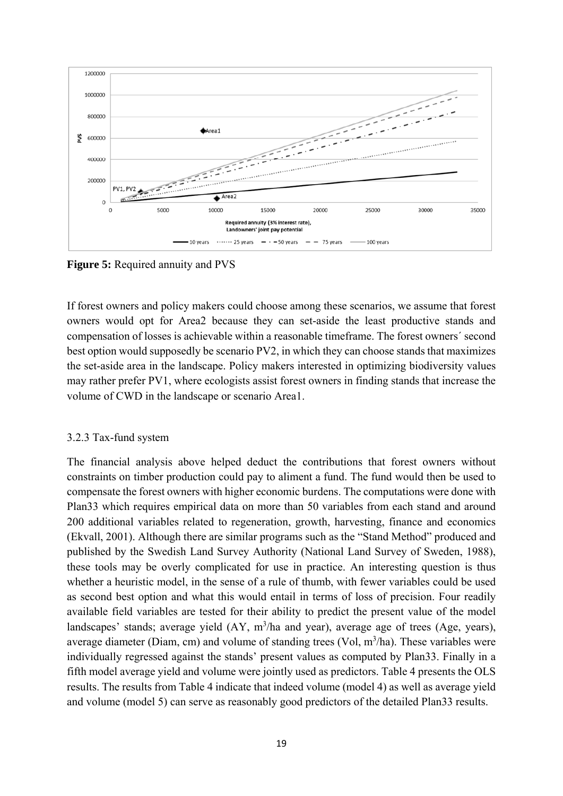

**Figure 5:** Required annuity and PVS

If forest owners and policy makers could choose among these scenarios, we assume that forest owners would opt for Area2 because they can set-aside the least productive stands and compensation of losses is achievable within a reasonable timeframe. The forest owners´ second best option would supposedly be scenario PV2, in which they can choose stands that maximizes the set-aside area in the landscape. Policy makers interested in optimizing biodiversity values may rather prefer PV1, where ecologists assist forest owners in finding stands that increase the volume of CWD in the landscape or scenario Area1.

#### 3.2.3 Tax-fund system

The financial analysis above helped deduct the contributions that forest owners without constraints on timber production could pay to aliment a fund. The fund would then be used to compensate the forest owners with higher economic burdens. The computations were done with Plan33 which requires empirical data on more than 50 variables from each stand and around 200 additional variables related to regeneration, growth, harvesting, finance and economics (Ekvall, 2001). Although there are similar programs such as the "Stand Method" produced and published by the Swedish Land Survey Authority (National Land Survey of Sweden, 1988), these tools may be overly complicated for use in practice. An interesting question is thus whether a heuristic model, in the sense of a rule of thumb, with fewer variables could be used as second best option and what this would entail in terms of loss of precision. Four readily available field variables are tested for their ability to predict the present value of the model landscapes' stands; average yield  $(AY, m^3/ha$  and year), average age of trees  $(Age, years)$ , average diameter (Diam, cm) and volume of standing trees (Vol,  $m<sup>3</sup>/ha$ ). These variables were individually regressed against the stands' present values as computed by Plan33. Finally in a fifth model average yield and volume were jointly used as predictors. Table 4 presents the OLS results. The results from Table 4 indicate that indeed volume (model 4) as well as average yield and volume (model 5) can serve as reasonably good predictors of the detailed Plan33 results.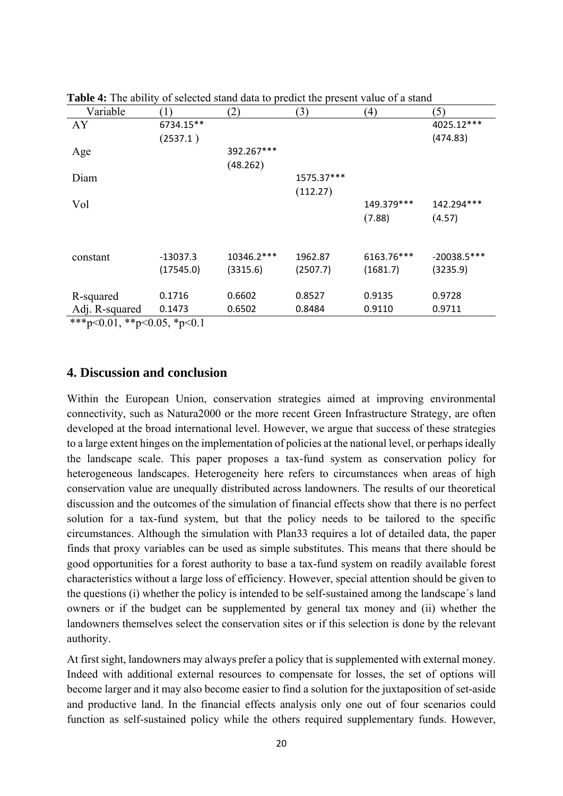| Variable                  | $\mathbf{1}$ | (2)        | (3)        | (4)        | (5)           |  |  |  |  |
|---------------------------|--------------|------------|------------|------------|---------------|--|--|--|--|
| AY                        | 6734.15**    |            |            |            | 4025.12***    |  |  |  |  |
|                           | (2537.1)     |            |            |            | (474.83)      |  |  |  |  |
| Age                       |              | 392.267*** |            |            |               |  |  |  |  |
|                           |              | (48.262)   |            |            |               |  |  |  |  |
| Diam                      |              |            | 1575.37*** |            |               |  |  |  |  |
|                           |              |            | (112.27)   |            |               |  |  |  |  |
| Vol                       |              |            |            | 149.379*** | 142.294 ***   |  |  |  |  |
|                           |              |            |            | (7.88)     | (4.57)        |  |  |  |  |
|                           |              |            |            |            |               |  |  |  |  |
|                           |              |            |            |            |               |  |  |  |  |
| constant                  | $-13037.3$   | 10346.2*** | 1962.87    | 6163.76*** | $-20038.5***$ |  |  |  |  |
|                           | (17545.0)    | (3315.6)   | (2507.7)   | (1681.7)   | (3235.9)      |  |  |  |  |
|                           |              |            |            |            |               |  |  |  |  |
| R-squared                 | 0.1716       | 0.6602     | 0.8527     | 0.9135     | 0.9728        |  |  |  |  |
| Adj. R-squared            | 0.1473       | 0.6502     | 0.8484     | 0.9110     | 0.9711        |  |  |  |  |
| ***n/0.01 **n/0.05 *n/0.1 |              |            |            |            |               |  |  |  |  |

**Table 4:** The ability of selected stand data to predict the present value of a stand

 ${\rm sp}$ <0.01, \*\*p<0.05, \*p<0.1

## **4. Discussion and conclusion**

Within the European Union, conservation strategies aimed at improving environmental connectivity, such as Natura2000 or the more recent Green Infrastructure Strategy, are often developed at the broad international level. However, we argue that success of these strategies to a large extent hinges on the implementation of policies at the national level, or perhaps ideally the landscape scale. This paper proposes a tax-fund system as conservation policy for heterogeneous landscapes. Heterogeneity here refers to circumstances when areas of high conservation value are unequally distributed across landowners. The results of our theoretical discussion and the outcomes of the simulation of financial effects show that there is no perfect solution for a tax-fund system, but that the policy needs to be tailored to the specific circumstances. Although the simulation with Plan33 requires a lot of detailed data, the paper finds that proxy variables can be used as simple substitutes. This means that there should be good opportunities for a forest authority to base a tax-fund system on readily available forest characteristics without a large loss of efficiency. However, special attention should be given to the questions (i) whether the policy is intended to be self-sustained among the landscape´s land owners or if the budget can be supplemented by general tax money and (ii) whether the landowners themselves select the conservation sites or if this selection is done by the relevant authority.

At first sight, landowners may always prefer a policy that is supplemented with external money. Indeed with additional external resources to compensate for losses, the set of options will become larger and it may also become easier to find a solution for the juxtaposition of set-aside and productive land. In the financial effects analysis only one out of four scenarios could function as self-sustained policy while the others required supplementary funds. However,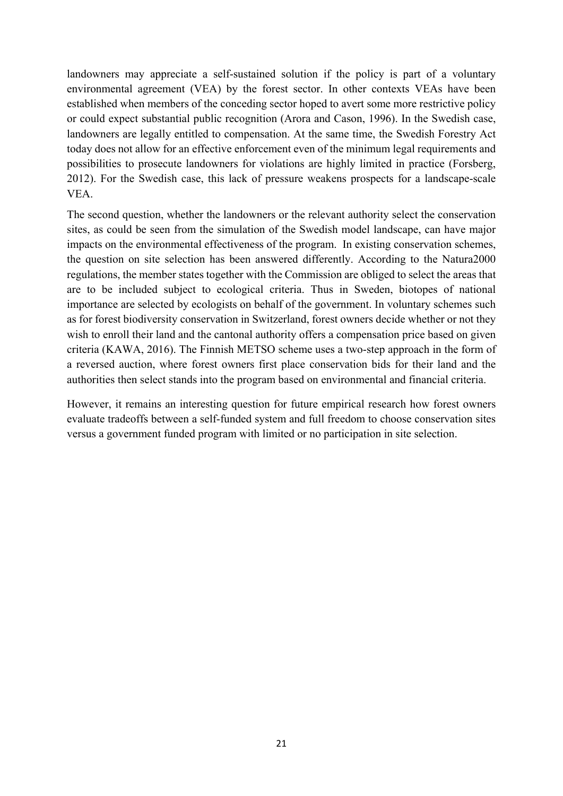landowners may appreciate a self-sustained solution if the policy is part of a voluntary environmental agreement (VEA) by the forest sector. In other contexts VEAs have been established when members of the conceding sector hoped to avert some more restrictive policy or could expect substantial public recognition (Arora and Cason, 1996). In the Swedish case, landowners are legally entitled to compensation. At the same time, the Swedish Forestry Act today does not allow for an effective enforcement even of the minimum legal requirements and possibilities to prosecute landowners for violations are highly limited in practice (Forsberg, 2012). For the Swedish case, this lack of pressure weakens prospects for a landscape-scale VEA.

The second question, whether the landowners or the relevant authority select the conservation sites, as could be seen from the simulation of the Swedish model landscape, can have major impacts on the environmental effectiveness of the program. In existing conservation schemes, the question on site selection has been answered differently. According to the Natura2000 regulations, the member states together with the Commission are obliged to select the areas that are to be included subject to ecological criteria. Thus in Sweden, biotopes of national importance are selected by ecologists on behalf of the government. In voluntary schemes such as for forest biodiversity conservation in Switzerland, forest owners decide whether or not they wish to enroll their land and the cantonal authority offers a compensation price based on given criteria (KAWA, 2016). The Finnish METSO scheme uses a two-step approach in the form of a reversed auction, where forest owners first place conservation bids for their land and the authorities then select stands into the program based on environmental and financial criteria.

However, it remains an interesting question for future empirical research how forest owners evaluate tradeoffs between a self-funded system and full freedom to choose conservation sites versus a government funded program with limited or no participation in site selection.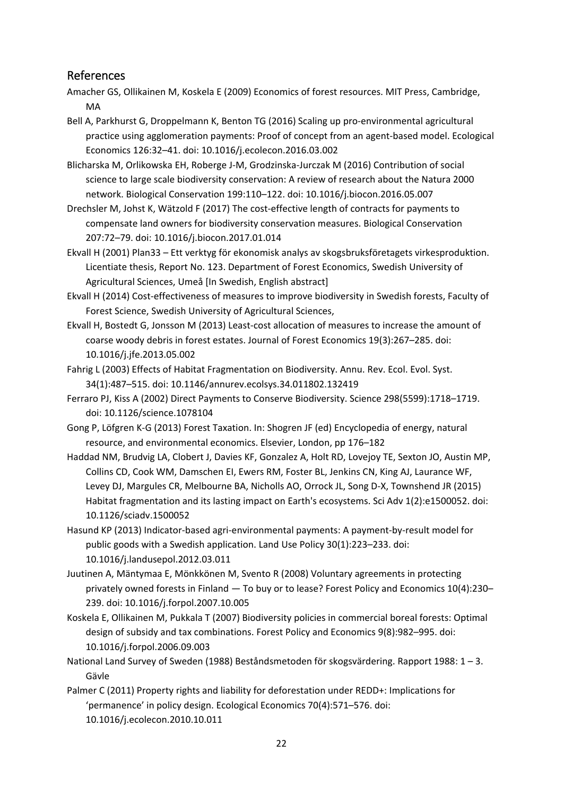## References

- Amacher GS, Ollikainen M, Koskela E (2009) Economics of forest resources. MIT Press, Cambridge, MA
- Bell A, Parkhurst G, Droppelmann K, Benton TG (2016) Scaling up pro‐environmental agricultural practice using agglomeration payments: Proof of concept from an agent‐based model. Ecological Economics 126:32–41. doi: 10.1016/j.ecolecon.2016.03.002
- Blicharska M, Orlikowska EH, Roberge J‐M, Grodzinska‐Jurczak M (2016) Contribution of social science to large scale biodiversity conservation: A review of research about the Natura 2000 network. Biological Conservation 199:110–122. doi: 10.1016/j.biocon.2016.05.007
- Drechsler M, Johst K, Wätzold F (2017) The cost‐effective length of contracts for payments to compensate land owners for biodiversity conservation measures. Biological Conservation 207:72–79. doi: 10.1016/j.biocon.2017.01.014
- Ekvall H (2001) Plan33 Ett verktyg för ekonomisk analys av skogsbruksföretagets virkesproduktion. Licentiate thesis, Report No. 123. Department of Forest Economics, Swedish University of Agricultural Sciences, Umeå [In Swedish, English abstract]
- Ekvall H (2014) Cost‐effectiveness of measures to improve biodiversity in Swedish forests, Faculty of Forest Science, Swedish University of Agricultural Sciences,
- Ekvall H, Bostedt G, Jonsson M (2013) Least‐cost allocation of measures to increase the amount of coarse woody debris in forest estates. Journal of Forest Economics 19(3):267–285. doi: 10.1016/j.jfe.2013.05.002
- Fahrig L (2003) Effects of Habitat Fragmentation on Biodiversity. Annu. Rev. Ecol. Evol. Syst. 34(1):487–515. doi: 10.1146/annurev.ecolsys.34.011802.132419
- Ferraro PJ, Kiss A (2002) Direct Payments to Conserve Biodiversity. Science 298(5599):1718–1719. doi: 10.1126/science.1078104
- Gong P, Löfgren K‐G (2013) Forest Taxation. In: Shogren JF (ed) Encyclopedia of energy, natural resource, and environmental economics. Elsevier, London, pp 176–182
- Haddad NM, Brudvig LA, Clobert J, Davies KF, Gonzalez A, Holt RD, Lovejoy TE, Sexton JO, Austin MP, Collins CD, Cook WM, Damschen EI, Ewers RM, Foster BL, Jenkins CN, King AJ, Laurance WF, Levey DJ, Margules CR, Melbourne BA, Nicholls AO, Orrock JL, Song D‐X, Townshend JR (2015) Habitat fragmentation and its lasting impact on Earth's ecosystems. Sci Adv 1(2):e1500052. doi: 10.1126/sciadv.1500052
- Hasund KP (2013) Indicator-based agri-environmental payments: A payment-by-result model for public goods with a Swedish application. Land Use Policy 30(1):223–233. doi: 10.1016/j.landusepol.2012.03.011
- Juutinen A, Mäntymaa E, Mönkkönen M, Svento R (2008) Voluntary agreements in protecting privately owned forests in Finland — To buy or to lease? Forest Policy and Economics 10(4):230– 239. doi: 10.1016/j.forpol.2007.10.005
- Koskela E, Ollikainen M, Pukkala T (2007) Biodiversity policies in commercial boreal forests: Optimal design of subsidy and tax combinations. Forest Policy and Economics 9(8):982–995. doi: 10.1016/j.forpol.2006.09.003
- National Land Survey of Sweden (1988) Beståndsmetoden för skogsvärdering. Rapport 1988: 1 3. Gävle
- Palmer C (2011) Property rights and liability for deforestation under REDD+: Implications for 'permanence' in policy design. Ecological Economics 70(4):571–576. doi: 10.1016/j.ecolecon.2010.10.011